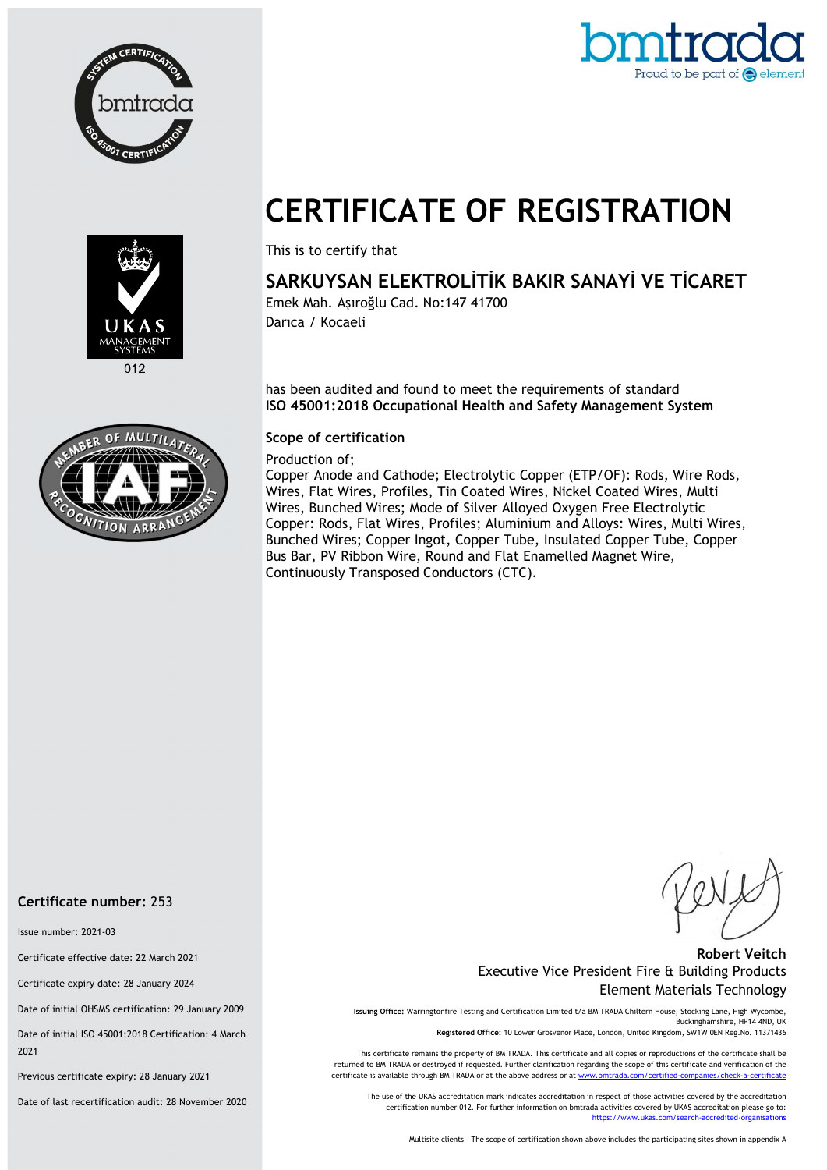



# CERTIFICATE OF REGISTRATION



## SARKUYSAN ELEKTROLİTİK BAKIR SANAYİ VE TİCARET

Emek Mah. Aşıroğlu Cad. No:147 41700 Darıca / Kocaeli

has been audited and found to meet the requirements of standard ISO 45001:2018 Occupational Health and Safety Management System

#### Scope of certification

Production of;

Copper Anode and Cathode; Electrolytic Copper (ETP/OF): Rods, Wire Rods, Wires, Flat Wires, Profiles, Tin Coated Wires, Nickel Coated Wires, Multi Wires, Bunched Wires; Mode of Silver Alloyed Oxygen Free Electrolytic Copper: Rods, Flat Wires, Profiles; Aluminium and Alloys: Wires, Multi Wires, Bunched Wires; Copper Ingot, Copper Tube, Insulated Copper Tube, Copper Bus Bar, PV Ribbon Wire, Round and Flat Enamelled Magnet Wire, Continuously Transposed Conductors (CTC).



012



Certificate number: 253

Issue number: 2021-03

Certificate effective date: 22 March 2021

Certificate expiry date: 28 January 2024

Date of initial OHSMS certification: 29 January 2009

Date of initial ISO 45001:2018 Certification: 4 March 2021

Previous certificate expiry: 28 January 2021

Date of last recertification audit: 28 November 2020

#### Robert Veitch Executive Vice President Fire & Building Products Element Materials Technology

Issuing Office: Warringtonfire Testing and Certification Limited t/a BM TRADA Chiltern House, Stocking Lane, High Wycombe, Buckinghamshire, HP14 4ND, UK Registered Office: 10 Lower Grosvenor Place, London, United Kingdom, SW1W 0EN Reg.No. 11371436

This certificate remains the property of BM TRADA. This certificate and all copies or reproductions of the certificate shall be returned to BM TRADA or destroyed if requested. Further clarification regarding the scope of this certificate and verification of the certificate is available through BM TRADA or at the above address or at www.bmtrada.com/certified

The use of the UKAS accreditation mark indicates accreditation in respect of those activities covered by the accreditation certification number 012. For further information on bmtrada activities covered by UKAS accreditation please go to: https://www.ukas.com/search-accredited-organis

Multisite clients – The scope of certification shown above includes the participating sites shown in appendix A